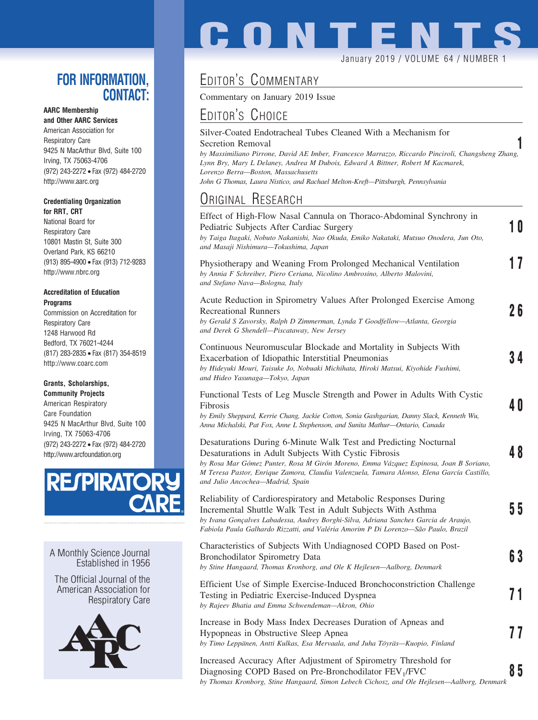### **FOR INFORMATION, CONTACT:**

#### **AARC Membership**

**and Other AARC Services** American Association for Respiratory Care 9425 N MacArthur Blvd, Suite 100 Irving, TX 75063-4706 (972) 243-2272 • Fax (972) 484-2720 http://www.aarc.org

#### **Credentialing Organization for RRT, CRT**

National Board for Respiratory Care 10801 Mastin St, Suite 300 Overland Park, KS 66210 (913) 895-4900 • Fax (913) 712-9283 http://www.nbrc.org

#### **Accreditation of Education Programs**

Commission on Accreditation for Respiratory Care 1248 Harwood Rd Bedford, TX 76021-4244 (817) 283-2835 • Fax (817) 354-8519 http://www.coarc.com

#### **Grants, Scholarships,**

**Community Projects** American Respiratory Care Foundation 9425 N MacArthur Blvd, Suite 100 Irving, TX 75063-4706 (972) 243-2272 • Fax (972) 484-2720 http://www.arcfoundation.org



A Monthly Science Journal Established in 1956

The Official Journal of the American Association for Respiratory Care



# **CONTENT**

#### January 2019 / VOLUME 64 / NUMBER 1

## EDITOR'S COMMENTARY

Commentary on January 2019 Issue

## EDITOR'S CHOICE

Silver-Coated Endotracheal Tubes Cleaned With a Mechanism for Secretion Removal **1** *by Massimiliano Pirrone, David AE Imber, Francesco Marrazzo, Riccardo Pinciroli, Changsheng Zhang, Lynn Bry, Mary L Delaney, Andrea M Dubois, Edward A Bittner, Robert M Kacmarek, Lorenzo Berra—Boston, Massachusetts John G Thomas, Laura Nistico, and Rachael Melton-Kreft—Pittsburgh, Pennsylvania*

## ORIGINAL RESEARCH

| Effect of High-Flow Nasal Cannula on Thoraco-Abdominal Synchrony in<br>Pediatric Subjects After Cardiac Surgery<br>by Taiga Itagaki, Nobuto Nakanishi, Nao Okuda, Emiko Nakataki, Mutsuo Onodera, Jun Oto,<br>and Masaji Nishimura—Tokushima, Japan                                                                                                 | 10 |
|-----------------------------------------------------------------------------------------------------------------------------------------------------------------------------------------------------------------------------------------------------------------------------------------------------------------------------------------------------|----|
| Physiotherapy and Weaning From Prolonged Mechanical Ventilation<br>by Annia F Schreiber, Piero Ceriana, Nicolino Ambrosino, Alberto Malovini,<br>and Stefano Nava-Bologna, Italy                                                                                                                                                                    | 17 |
| Acute Reduction in Spirometry Values After Prolonged Exercise Among<br><b>Recreational Runners</b><br>by Gerald S Zavorsky, Ralph D Zimmerman, Lynda T Goodfellow-Atlanta, Georgia<br>and Derek G Shendell-Piscataway, New Jersey                                                                                                                   | 26 |
| Continuous Neuromuscular Blockade and Mortality in Subjects With<br>Exacerbation of Idiopathic Interstitial Pneumonias<br>by Hideyuki Mouri, Taisuke Jo, Nobuaki Michihata, Hiroki Matsui, Kiyohide Fushimi,<br>and Hideo Yasunaga—Tokyo, Japan                                                                                                     | 34 |
| Functional Tests of Leg Muscle Strength and Power in Adults With Cystic<br>Fibrosis<br>by Emily Sheppard, Kerrie Chang, Jackie Cotton, Sonia Gashgarian, Danny Slack, Kenneth Wu,<br>Anna Michalski, Pat Fox, Anne L Stephenson, and Sunita Mathur-Ontario, Canada                                                                                  | 40 |
| Desaturations During 6-Minute Walk Test and Predicting Nocturnal<br>Desaturations in Adult Subjects With Cystic Fibrosis<br>by Rosa Mar Gómez Punter, Rosa M Girón Moreno, Emma Vázquez Espinosa, Joan B Soriano,<br>M Teresa Pastor, Enrique Zamora, Claudia Valenzuela, Tamara Alonso, Elena García Castillo,<br>and Julio Ancochea-Madrid, Spain | 48 |
| Reliability of Cardiorespiratory and Metabolic Responses During<br>Incremental Shuttle Walk Test in Adult Subjects With Asthma<br>by Ivana Gonçalves Labadessa, Audrey Borghi-Silva, Adriana Sanches Garcia de Araujo,<br>Fabiola Paula Galhardo Rizzatti, and Valéria Amorim P Di Lorenzo—São Paulo, Brazil                                        | 55 |
| Characteristics of Subjects With Undiagnosed COPD Based on Post-<br>Bronchodilator Spirometry Data<br>by Stine Hangaard, Thomas Kronborg, and Ole K Hejlesen-Aalborg, Denmark                                                                                                                                                                       | 63 |
| Efficient Use of Simple Exercise-Induced Bronchoconstriction Challenge<br>Testing in Pediatric Exercise-Induced Dyspnea<br>by Rajeev Bhatia and Emma Schwendeman-Akron, Ohio                                                                                                                                                                        | 71 |
| Increase in Body Mass Index Decreases Duration of Apneas and<br>Hypopneas in Obstructive Sleep Apnea<br>by Timo Leppänen, Antti Kulkas, Esa Mervaala, and Juha Töyräs-Kuopio, Finland                                                                                                                                                               | 77 |
| Increased Accuracy After Adjustment of Spirometry Threshold for<br>Diagnosing COPD Based on Pre-Bronchodilator FEV <sub>1</sub> /FVC                                                                                                                                                                                                                | 85 |

Diagnosing COPD Based on Pre-Bronchodilator FEV1/FVC **8 5** *by Thomas Kronborg, Stine Hangaard, Simon Lebech Cichosz, and Ole Hejlesen—Aalborg, Denmark*